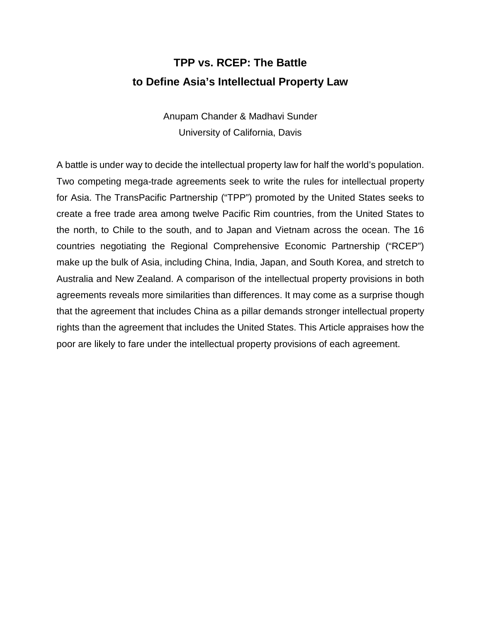# **TPP vs. RCEP: The Battle to Define Asia's Intellectual Property Law**

Anupam Chander & Madhavi Sunder University of California, Davis

A battle is under way to decide the intellectual property law for half the world's population. Two competing mega-trade agreements seek to write the rules for intellectual property for Asia. The TransPacific Partnership ("TPP") promoted by the United States seeks to create a free trade area among twelve Pacific Rim countries, from the United States to the north, to Chile to the south, and to Japan and Vietnam across the ocean. The 16 countries negotiating the Regional Comprehensive Economic Partnership ("RCEP") make up the bulk of Asia, including China, India, Japan, and South Korea, and stretch to Australia and New Zealand. A comparison of the intellectual property provisions in both agreements reveals more similarities than differences. It may come as a surprise though that the agreement that includes China as a pillar demands stronger intellectual property rights than the agreement that includes the United States. This Article appraises how the poor are likely to fare under the intellectual property provisions of each agreement.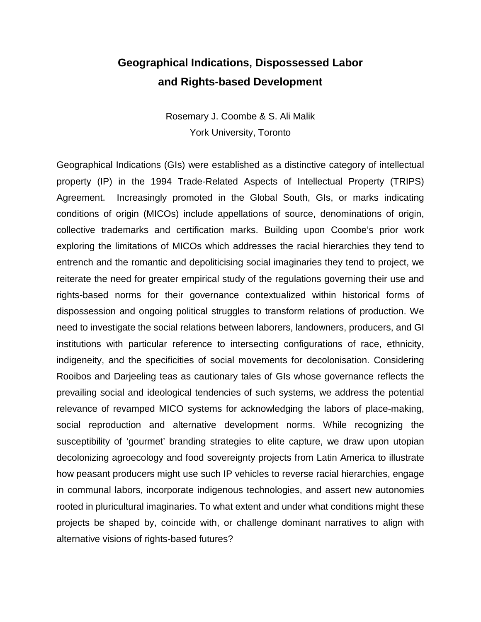### **Geographical Indications, Dispossessed Labor and Rights-based Development**

Rosemary J. Coombe & S. Ali Malik York University, Toronto

Geographical Indications (GIs) were established as a distinctive category of intellectual property (IP) in the 1994 Trade-Related Aspects of Intellectual Property (TRIPS) Agreement. Increasingly promoted in the Global South, GIs, or marks indicating conditions of origin (MICOs) include appellations of source, denominations of origin, collective trademarks and certification marks. Building upon Coombe's prior work exploring the limitations of MICOs which addresses the racial hierarchies they tend to entrench and the romantic and depoliticising social imaginaries they tend to project, we reiterate the need for greater empirical study of the regulations governing their use and rights-based norms for their governance contextualized within historical forms of dispossession and ongoing political struggles to transform relations of production. We need to investigate the social relations between laborers, landowners, producers, and GI institutions with particular reference to intersecting configurations of race, ethnicity, indigeneity, and the specificities of social movements for decolonisation. Considering Rooibos and Darjeeling teas as cautionary tales of GIs whose governance reflects the prevailing social and ideological tendencies of such systems, we address the potential relevance of revamped MICO systems for acknowledging the labors of place-making, social reproduction and alternative development norms. While recognizing the susceptibility of 'gourmet' branding strategies to elite capture, we draw upon utopian decolonizing agroecology and food sovereignty projects from Latin America to illustrate how peasant producers might use such IP vehicles to reverse racial hierarchies, engage in communal labors, incorporate indigenous technologies, and assert new autonomies rooted in pluricultural imaginaries. To what extent and under what conditions might these projects be shaped by, coincide with, or challenge dominant narratives to align with alternative visions of rights-based futures?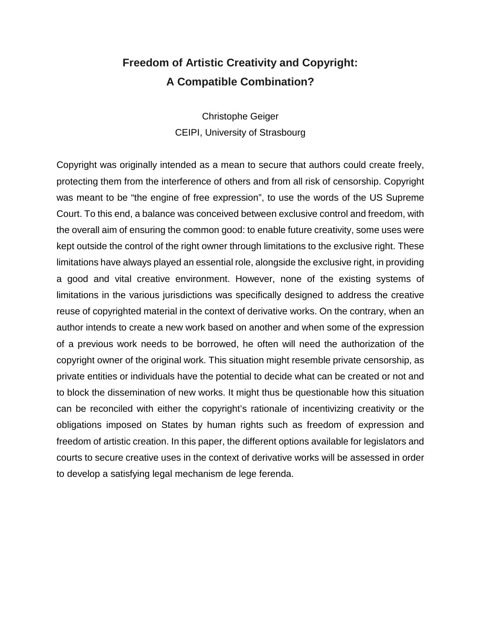## **Freedom of Artistic Creativity and Copyright: A Compatible Combination?**

Christophe Geiger CEIPI, University of Strasbourg

Copyright was originally intended as a mean to secure that authors could create freely, protecting them from the interference of others and from all risk of censorship. Copyright was meant to be "the engine of free expression", to use the words of the US Supreme Court. To this end, a balance was conceived between exclusive control and freedom, with the overall aim of ensuring the common good: to enable future creativity, some uses were kept outside the control of the right owner through limitations to the exclusive right. These limitations have always played an essential role, alongside the exclusive right, in providing a good and vital creative environment. However, none of the existing systems of limitations in the various jurisdictions was specifically designed to address the creative reuse of copyrighted material in the context of derivative works. On the contrary, when an author intends to create a new work based on another and when some of the expression of a previous work needs to be borrowed, he often will need the authorization of the copyright owner of the original work. This situation might resemble private censorship, as private entities or individuals have the potential to decide what can be created or not and to block the dissemination of new works. It might thus be questionable how this situation can be reconciled with either the copyright's rationale of incentivizing creativity or the obligations imposed on States by human rights such as freedom of expression and freedom of artistic creation. In this paper, the different options available for legislators and courts to secure creative uses in the context of derivative works will be assessed in order to develop a satisfying legal mechanism de lege ferenda.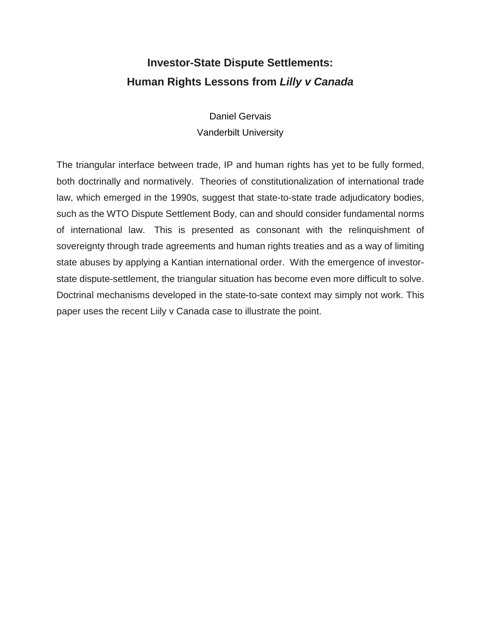## **Investor-State Dispute Settlements: Human Rights Lessons from** *Lilly v Canada*

Daniel Gervais Vanderbilt University

The triangular interface between trade, IP and human rights has yet to be fully formed, both doctrinally and normatively. Theories of constitutionalization of international trade law, which emerged in the 1990s, suggest that state-to-state trade adjudicatory bodies, such as the WTO Dispute Settlement Body, can and should consider fundamental norms of international law. This is presented as consonant with the relinquishment of sovereignty through trade agreements and human rights treaties and as a way of limiting state abuses by applying a Kantian international order. With the emergence of investorstate dispute-settlement, the triangular situation has become even more difficult to solve. Doctrinal mechanisms developed in the state-to-sate context may simply not work. This paper uses the recent Liily v Canada case to illustrate the point.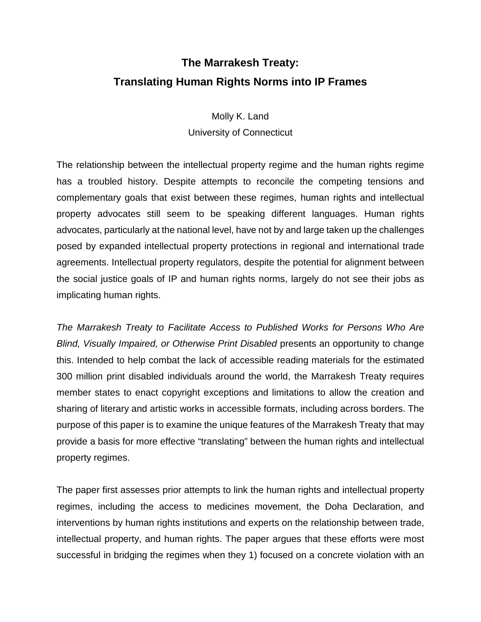# **The Marrakesh Treaty: Translating Human Rights Norms into IP Frames**

Molly K. Land University of Connecticut

The relationship between the intellectual property regime and the human rights regime has a troubled history. Despite attempts to reconcile the competing tensions and complementary goals that exist between these regimes, human rights and intellectual property advocates still seem to be speaking different languages. Human rights advocates, particularly at the national level, have not by and large taken up the challenges posed by expanded intellectual property protections in regional and international trade agreements. Intellectual property regulators, despite the potential for alignment between the social justice goals of IP and human rights norms, largely do not see their jobs as implicating human rights.

*The Marrakesh Treaty to Facilitate Access to Published Works for Persons Who Are Blind, Visually Impaired, or Otherwise Print Disabled* presents an opportunity to change this. Intended to help combat the lack of accessible reading materials for the estimated 300 million print disabled individuals around the world, the Marrakesh Treaty requires member states to enact copyright exceptions and limitations to allow the creation and sharing of literary and artistic works in accessible formats, including across borders. The purpose of this paper is to examine the unique features of the Marrakesh Treaty that may provide a basis for more effective "translating" between the human rights and intellectual property regimes.

The paper first assesses prior attempts to link the human rights and intellectual property regimes, including the access to medicines movement, the Doha Declaration, and interventions by human rights institutions and experts on the relationship between trade, intellectual property, and human rights. The paper argues that these efforts were most successful in bridging the regimes when they 1) focused on a concrete violation with an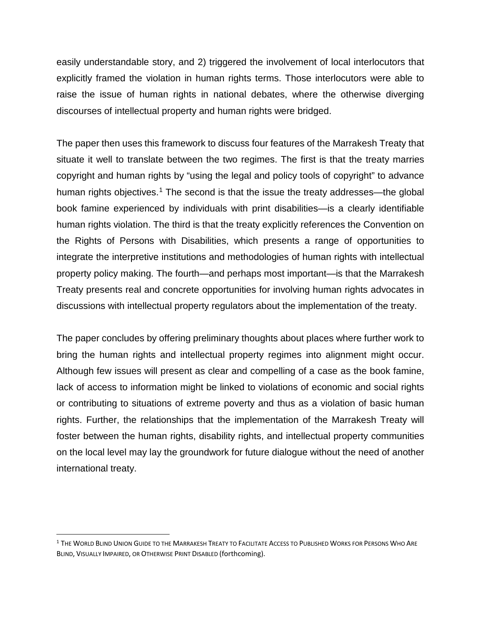easily understandable story, and 2) triggered the involvement of local interlocutors that explicitly framed the violation in human rights terms. Those interlocutors were able to raise the issue of human rights in national debates, where the otherwise diverging discourses of intellectual property and human rights were bridged.

The paper then uses this framework to discuss four features of the Marrakesh Treaty that situate it well to translate between the two regimes. The first is that the treaty marries copyright and human rights by "using the legal and policy tools of copyright" to advance human rights objectives.<sup>[1](#page-5-0)</sup> The second is that the issue the treaty addresses—the global book famine experienced by individuals with print disabilities—is a clearly identifiable human rights violation. The third is that the treaty explicitly references the Convention on the Rights of Persons with Disabilities, which presents a range of opportunities to integrate the interpretive institutions and methodologies of human rights with intellectual property policy making. The fourth—and perhaps most important—is that the Marrakesh Treaty presents real and concrete opportunities for involving human rights advocates in discussions with intellectual property regulators about the implementation of the treaty.

The paper concludes by offering preliminary thoughts about places where further work to bring the human rights and intellectual property regimes into alignment might occur. Although few issues will present as clear and compelling of a case as the book famine, lack of access to information might be linked to violations of economic and social rights or contributing to situations of extreme poverty and thus as a violation of basic human rights. Further, the relationships that the implementation of the Marrakesh Treaty will foster between the human rights, disability rights, and intellectual property communities on the local level may lay the groundwork for future dialogue without the need of another international treaty.

<span id="page-5-0"></span><sup>&</sup>lt;sup>1</sup> The World Blind Union Guide to the Marrakesh Treaty to Facilitate Access to Published Works for Persons Who Are BLIND, VISUALLY IMPAIRED, OR OTHERWISE PRINT DISABLED (forthcoming).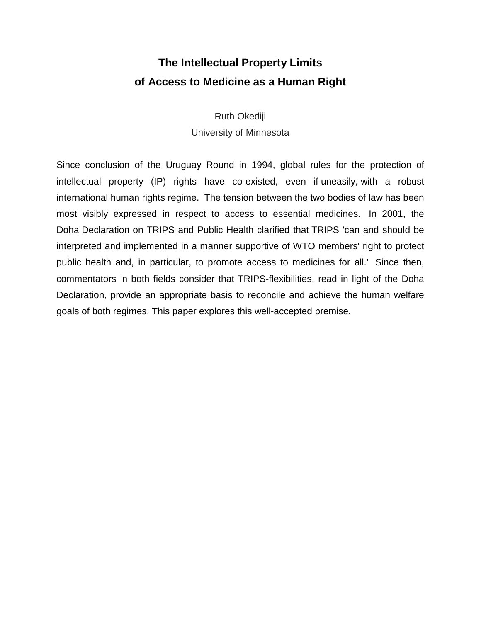## **The Intellectual Property Limits of Access to Medicine as a Human Right**

Ruth Okediji University of Minnesota

Since conclusion of the Uruguay Round in 1994, global rules for the protection of intellectual property (IP) rights have co-existed, even if uneasily, with a robust international human rights regime. The tension between the two bodies of law has been most visibly expressed in respect to access to essential medicines. In 2001, the Doha Declaration on TRIPS and Public Health clarified that TRIPS 'can and should be interpreted and implemented in a manner supportive of WTO members' right to protect public health and, in particular, to promote access to medicines for all.' Since then, commentators in both fields consider that TRIPS-flexibilities, read in light of the Doha Declaration, provide an appropriate basis to reconcile and achieve the human welfare goals of both regimes. This paper explores this well-accepted premise.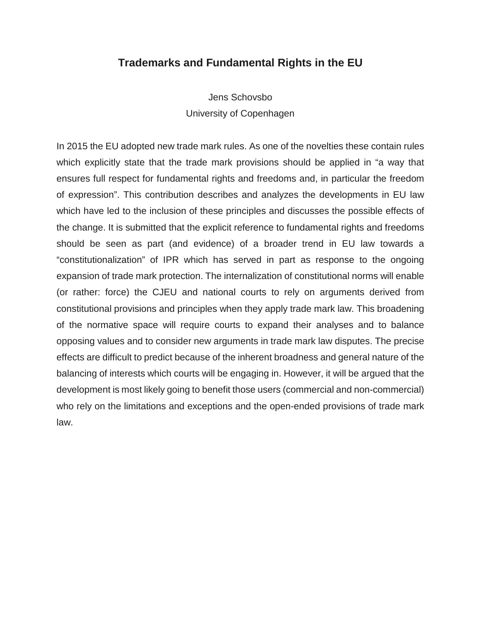#### **Trademarks and Fundamental Rights in the EU**

Jens Schovsbo University of Copenhagen

In 2015 the EU adopted new trade mark rules. As one of the novelties these contain rules which explicitly state that the trade mark provisions should be applied in "a way that ensures full respect for fundamental rights and freedoms and, in particular the freedom of expression". This contribution describes and analyzes the developments in EU law which have led to the inclusion of these principles and discusses the possible effects of the change. It is submitted that the explicit reference to fundamental rights and freedoms should be seen as part (and evidence) of a broader trend in EU law towards a "constitutionalization" of IPR which has served in part as response to the ongoing expansion of trade mark protection. The internalization of constitutional norms will enable (or rather: force) the CJEU and national courts to rely on arguments derived from constitutional provisions and principles when they apply trade mark law. This broadening of the normative space will require courts to expand their analyses and to balance opposing values and to consider new arguments in trade mark law disputes. The precise effects are difficult to predict because of the inherent broadness and general nature of the balancing of interests which courts will be engaging in. However, it will be argued that the development is most likely going to benefit those users (commercial and non-commercial) who rely on the limitations and exceptions and the open-ended provisions of trade mark law.